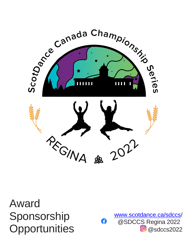

Award Sponsorship **Opportunities** 

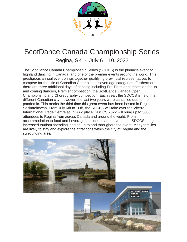

#### ScotDance Canada Championship Series

Regina, SK - July 6 – 10, 2022

The ScotDance Canada Championship Series (SDCCS) is the pinnacle event of highland dancing in Canada, and one of the premier events around the world. This prestigious annual event brings together qualifying provincial representatives to compete for the title of Canadian Champion in seven age categories. Furthermore, there are three additional days of dancing including Pre-Premier competition for up and coming dancers, Premier competition, the ScotDance Canada Open Championship and Choreography competition. Each year, the SDCCS is held in a different Canadian city; however, the last two years were cancelled due to the pandemic. This marks the third time this great event has been hosted in Regina, Saskatchewan. From July 6th to 10th, the SDCCS will take over the Viterra International Trade Centre at EVRAZ place. SDCCS 2022 will bring up to 3000 attendees to Regina from across Canada and around the world. From accommodation to food and beverage, attractions and beyond, the SDCCS brings increased tourism spending leading up to and throughout the event. Many families are likely to stay and explore the attractions within the city of Regina and the surrounding area.

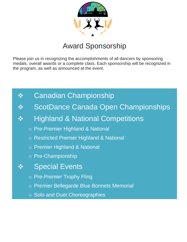

# Award Sponsorship

Please join us in recognizing the accomplishments of all dancers by sponsoring medals, overall awards or a complete class. Each sponsorship will be recognized in the program, as well as announced at the event.



- ScotDance Canada Open Championships
- ❖ Highland & National Competitions
	- o Pre-Premier Highland & National
	- o Restricted Premier Highland & National
	- o Premier Highland & National
	- o Pre-Championship
	- **Special Events** 
		- o Pre-Premier Trophy Fling
		- o Premier Bellegarde Blue Bonnets Memorial
		- o Solo and Duet Choreographies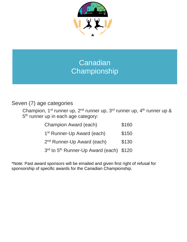

### Canadian **Championship**

#### Seven (7) age categories

Champion, 1<sup>st</sup> runner up, 2<sup>nd</sup> runner up, 3<sup>rd</sup> runner up, 4<sup>th</sup> runner up & 5<sup>th</sup> runner up in each age category:

| Champion Award (each)                               | \$160 |
|-----------------------------------------------------|-------|
| 1 <sup>st</sup> Runner-Up Award (each)              | \$150 |
| 2 <sup>nd</sup> Runner-Up Award (each)              | \$130 |
| 3rd to 5 <sup>th</sup> Runner-Up Award (each) \$120 |       |

\*Note: Past award sponsors will be emailed and given first right of refusal for sponsorship of specific awards for the Canadian Championship.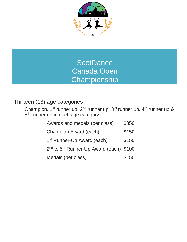

#### **ScotDance** Canada Open **Championship**

#### Thirteen (13) age categories

Champion, 1<sup>st</sup> runner up, 2<sup>nd</sup> runner up, 3<sup>rd</sup> runner up, 4<sup>th</sup> runner up & 5<sup>th</sup> runner up in each age category:

| Awards and medals (per class)                                   | \$850 |
|-----------------------------------------------------------------|-------|
| Champion Award (each)                                           | \$150 |
| 1 <sup>st</sup> Runner-Up Award (each)                          | \$150 |
| 2 <sup>nd</sup> to 5 <sup>th</sup> Runner-Up Award (each) \$100 |       |
| Medals (per class)                                              | \$150 |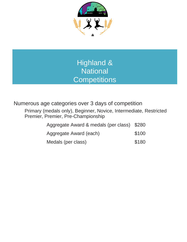

### Highland & **National Competitions**

Numerous age categories over 3 days of competition

Primary (medals only), Beginner, Novice, Intermediate, Restricted Premier, Premier, Pre-Championship

| Aggregate Award & medals (per class) \$280 |       |
|--------------------------------------------|-------|
| Aggregate Award (each)                     | \$100 |
| Medals (per class)                         | \$180 |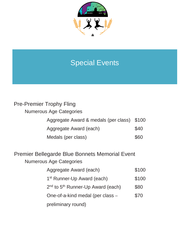

# Special Events

| <b>Pre-Premier Trophy Fling</b>            |      |
|--------------------------------------------|------|
| <b>Numerous Age Categories</b>             |      |
| Aggregate Award & medals (per class) \$100 |      |
| Aggregate Award (each)                     | \$40 |
| Medals (per class)                         | \$60 |

# Premier Bellegarde Blue Bonnets Memorial Event

#### Numerous Age Categories

| Aggregate Award (each)                                    | \$100 |
|-----------------------------------------------------------|-------|
| 1 <sup>st</sup> Runner-Up Award (each)                    | \$100 |
| 2 <sup>nd</sup> to 5 <sup>th</sup> Runner-Up Award (each) | \$80  |
| One-of-a-kind medal (per class -                          | \$70  |
| preliminary round)                                        |       |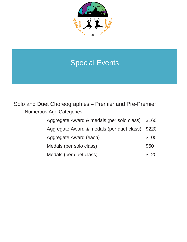

## Special Events

Solo and Duet Choreographies – Premier and Pre-Premier Numerous Age Categories

| Aggregate Award & medals (per solo class) \$160 |       |
|-------------------------------------------------|-------|
| Aggregate Award & medals (per duet class) \$220 |       |
| Aggregate Award (each)                          | \$100 |
| Medals (per solo class)                         | \$60  |
| Medals (per duet class)                         | \$120 |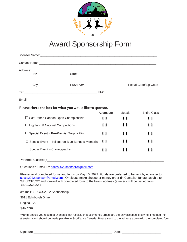

### Award Sponsorship Form

| Contact Name: <u>Contact Name:</u> Contact Name: Contact Name: Contact Name: Contact Name: Contact Name: Contact Name: Contact Name: Contact Name: Contact Name: Contact Name: Contact Name: Contact Name: Contact Name: Contact Na |                      |          |                     |
|-------------------------------------------------------------------------------------------------------------------------------------------------------------------------------------------------------------------------------------|----------------------|----------|---------------------|
|                                                                                                                                                                                                                                     |                      |          |                     |
| Street<br>No.                                                                                                                                                                                                                       |                      |          |                     |
| City<br>Prov/State                                                                                                                                                                                                                  | Postal Code/Zip Code |          |                     |
|                                                                                                                                                                                                                                     |                      |          |                     |
|                                                                                                                                                                                                                                     |                      |          |                     |
|                                                                                                                                                                                                                                     |                      |          |                     |
| Please check the box for what you would like to sponsor.                                                                                                                                                                            |                      |          |                     |
|                                                                                                                                                                                                                                     | Aggregate            | Medals   | <b>Entire Class</b> |
| $\Box$ ScotDance Canada Open Championship                                                                                                                                                                                           | 0                    | <b>U</b> | ( )                 |
| $\Box$ Highland & National Competitions                                                                                                                                                                                             | t 1                  | I 1      | ( )                 |
| $\Box$ Special Event – Pre-Premier Trophy Fling                                                                                                                                                                                     | ( )                  | ( )      | <b>U</b>            |
| $\Box$ Special Event – Bellegarde Blue Bonnets Memorial                                                                                                                                                                             | 0                    |          | ( 1                 |
| $\Box$ Special Event – Choreography                                                                                                                                                                                                 | ( 1                  |          | <b>U</b>            |

Questions? Email us: [sdccs2022sponsor@gmail.com](mailto:sdccs2022sponsor@gmail.com)

Please send completed forms and funds by May 15, 2022. Funds are preferred to be sent by etransfer to [sdccs2022sponsor@gmail.com.](mailto:sdccs2022sponsor@gmail.com) Or please make cheque or money order (in Canadian funds) payable to "SDCCS2022" and forward with completed form to the below address (a receipt will be issued from "SDCCS2022").

c/o mail: SDCCS2022 Sponsorship

3611 Edinburgh Drive

Regina, SK

S4V 2G6

**\*\*Note:** Should you require a charitable tax receipt, cheques/money orders are the only acceptable payment method (no etransfers) and should be made payable to ScotDance Canada. Please send to the address above with the completed form.

Signature:\_\_\_\_\_\_\_\_\_\_\_\_\_\_\_\_\_\_\_\_\_\_\_\_\_\_\_\_\_\_\_\_\_\_\_\_\_\_\_\_\_\_\_\_\_\_ Date: \_\_\_\_\_\_\_\_\_\_\_\_\_\_\_\_\_\_\_\_\_\_\_